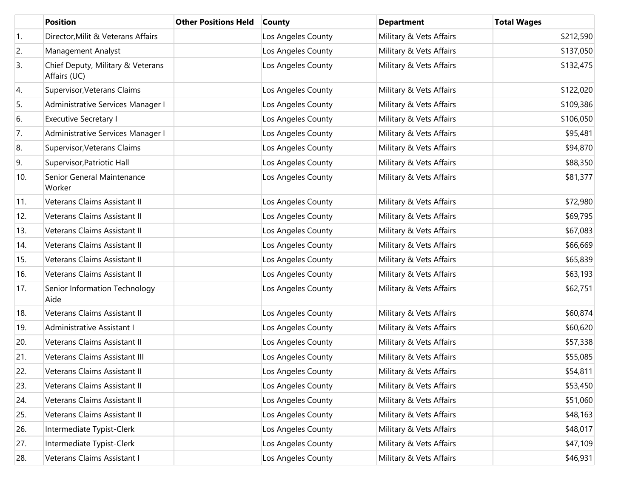|                  | <b>Position</b>                                   | <b>Other Positions Held</b> | <b>County</b>      | <b>Department</b>       | <b>Total Wages</b> |
|------------------|---------------------------------------------------|-----------------------------|--------------------|-------------------------|--------------------|
| $\overline{1}$ . | Director, Milit & Veterans Affairs                |                             | Los Angeles County | Military & Vets Affairs | \$212,590          |
| 2.               | Management Analyst                                |                             | Los Angeles County | Military & Vets Affairs | \$137,050          |
| 3.               | Chief Deputy, Military & Veterans<br>Affairs (UC) |                             | Los Angeles County | Military & Vets Affairs | \$132,475          |
| 4.               | Supervisor, Veterans Claims                       |                             | Los Angeles County | Military & Vets Affairs | \$122,020          |
| 5.               | Administrative Services Manager I                 |                             | Los Angeles County | Military & Vets Affairs | \$109,386          |
| 6.               | <b>Executive Secretary I</b>                      |                             | Los Angeles County | Military & Vets Affairs | \$106,050          |
| 7.               | Administrative Services Manager I                 |                             | Los Angeles County | Military & Vets Affairs | \$95,481           |
| 8.               | Supervisor, Veterans Claims                       |                             | Los Angeles County | Military & Vets Affairs | \$94,870           |
| 9.               | Supervisor, Patriotic Hall                        |                             | Los Angeles County | Military & Vets Affairs | \$88,350           |
| 10.              | Senior General Maintenance<br>Worker              |                             | Los Angeles County | Military & Vets Affairs | \$81,377           |
| 11.              | Veterans Claims Assistant II                      |                             | Los Angeles County | Military & Vets Affairs | \$72,980           |
| 12.              | Veterans Claims Assistant II                      |                             | Los Angeles County | Military & Vets Affairs | \$69,795           |
| 13.              | Veterans Claims Assistant II                      |                             | Los Angeles County | Military & Vets Affairs | \$67,083           |
| 14.              | Veterans Claims Assistant II                      |                             | Los Angeles County | Military & Vets Affairs | \$66,669           |
| 15.              | Veterans Claims Assistant II                      |                             | Los Angeles County | Military & Vets Affairs | \$65,839           |
| 16.              | Veterans Claims Assistant II                      |                             | Los Angeles County | Military & Vets Affairs | \$63,193           |
| 17.              | Senior Information Technology<br>Aide             |                             | Los Angeles County | Military & Vets Affairs | \$62,751           |
| 18.              | Veterans Claims Assistant II                      |                             | Los Angeles County | Military & Vets Affairs | \$60,874           |
| 19.              | Administrative Assistant I                        |                             | Los Angeles County | Military & Vets Affairs | \$60,620           |
| 20.              | Veterans Claims Assistant II                      |                             | Los Angeles County | Military & Vets Affairs | \$57,338           |
| 21.              | Veterans Claims Assistant III                     |                             | Los Angeles County | Military & Vets Affairs | \$55,085           |
| 22.              | Veterans Claims Assistant II                      |                             | Los Angeles County | Military & Vets Affairs | \$54,811           |
| 23.              | Veterans Claims Assistant II                      |                             | Los Angeles County | Military & Vets Affairs | \$53,450           |
| 24.              | Veterans Claims Assistant II                      |                             | Los Angeles County | Military & Vets Affairs | \$51,060           |
| 25.              | Veterans Claims Assistant II                      |                             | Los Angeles County | Military & Vets Affairs | \$48,163           |
| 26.              | Intermediate Typist-Clerk                         |                             | Los Angeles County | Military & Vets Affairs | \$48,017           |
| 27.              | Intermediate Typist-Clerk                         |                             | Los Angeles County | Military & Vets Affairs | \$47,109           |
| 28.              | Veterans Claims Assistant I                       |                             | Los Angeles County | Military & Vets Affairs | \$46,931           |